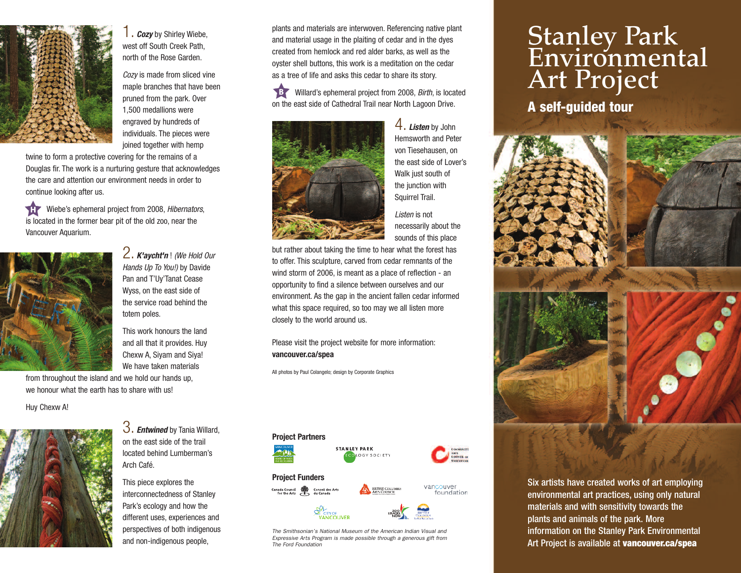

1. *Cozy* by Shirley Wiebe, west off South Creek Path, north of the Rose Garden.

*Cozy* is made from sliced vine maple branches that have been pruned from the park. Over 1,500 medallions were engraved by hundreds of individuals. The pieces were joined together with hemp

twine to form a protective covering for the remains of a Douglas fir. The work is a nurturing gesture that acknowledges the care and attention our environment needs in order to continue looking after us.

Ť Wiebe's ephemeral project from 2008, *Hibernators*, is located in the former bear pit of the old zoo, near the Vancouver Aquarium.



2. *K'aycht'n* ! *(We Hold Our Hands Up To You!)* by Davide Pan and T'Uy'Tanat Cease Wyss, on the east side of the service road behind the totem poles.

This work honours the land and all that it provides. Huy Chexw A, Siyam and Siya! We have taken materials

from throughout the island and we hold our hands up, we honour what the earth has to share with us!

Huy Chexw A!



3. *Entwined* by Tania Willard, on the east side of the trail located behind Lumberman's Arch Café.

This piece explores the interconnectedness of Stanley Park's ecology and how the different uses, experiences and perspectives of both indigenous and non-indigenous people,

plants and materials are interwoven. Referencing native plant and material usage in the plaiting of cedar and in the dyes created from hemlock and red alder barks, as well as the oyster shell buttons, this work is a meditation on the cedar as a tree of life and asks this cedar to share its story.

**B** Willard's ephemeral project from 2008, *Birth*, is located on the east side of Cathedral Trail near North Lagoon Drive.



4. *Listen* by John Hemsworth and Peter von Tiesehausen, on the east side of Lover's Walk just south of the junction with Squirrel Trail.

*Listen* is not necessarily about the sounds of this place

but rather about taking the time to hear what the forest has to offer. This sculpture, carved from cedar remnants of the wind storm of 2006, is meant as a place of reflection - an opportunity to find a silence between ourselves and our environment. As the gap in the ancient fallen cedar informed what this space required, so too may we all listen more closely to the world around us.

Please visit the project website for more information: **vancouver.ca/spea**

All photos by Paul Colangelo; design by Corporate Graphics



*The Smithsonian's National Museum of the American Indian Visual and Expressive Arts Program is made possible through a generous gift from The Ford Foundation*

## **Stanley Park Environmental Art Project**

**A self-guided tour**



Six artists have created works of art employing environmental art practices, using only natural materials and with sensitivity towards the plants and animals of the park. More information on the Stanley Park Environmental Art Project is available at **vancouver.ca/spea**